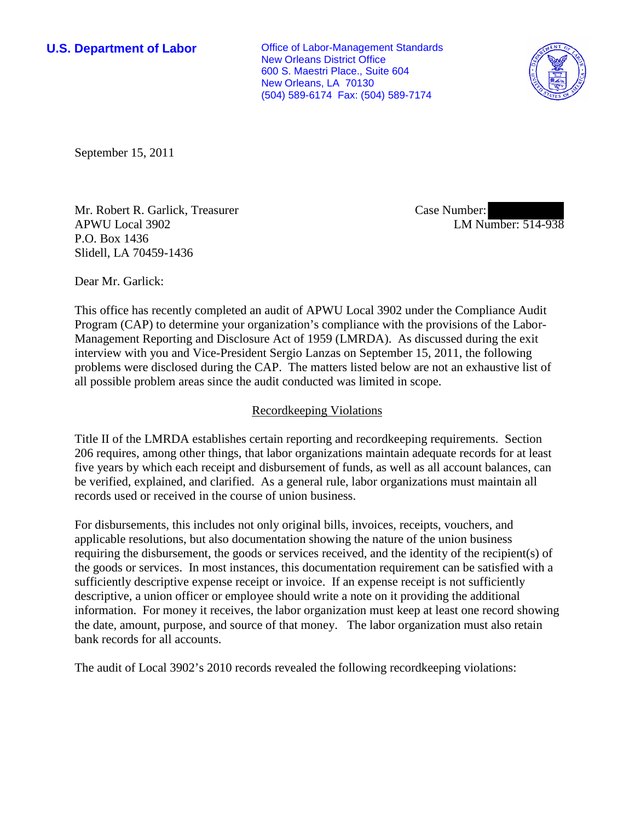**U.S. Department of Labor Conservative Conservative Conservative Conservative Conservative Conservative Conservative Conservative Conservative Conservative Conservative Conservative Conservative Conservative Conservative** New Orleans District Office 600 S. Maestri Place., Suite 604 New Orleans, LA 70130 (504) 589-6174 Fax: (504) 589-7174



September 15, 2011

Mr. Robert R. Garlick, Treasurer APWU Local 3902 P.O. Box 1436 Slidell, LA 70459-1436

Case Number: LM Number: 514-938

Dear Mr. Garlick:

This office has recently completed an audit of APWU Local 3902 under the Compliance Audit Program (CAP) to determine your organization's compliance with the provisions of the Labor-Management Reporting and Disclosure Act of 1959 (LMRDA). As discussed during the exit interview with you and Vice-President Sergio Lanzas on September 15, 2011, the following problems were disclosed during the CAP. The matters listed below are not an exhaustive list of all possible problem areas since the audit conducted was limited in scope.

## Recordkeeping Violations

Title II of the LMRDA establishes certain reporting and recordkeeping requirements. Section 206 requires, among other things, that labor organizations maintain adequate records for at least five years by which each receipt and disbursement of funds, as well as all account balances, can be verified, explained, and clarified. As a general rule, labor organizations must maintain all records used or received in the course of union business.

For disbursements, this includes not only original bills, invoices, receipts, vouchers, and applicable resolutions, but also documentation showing the nature of the union business requiring the disbursement, the goods or services received, and the identity of the recipient(s) of the goods or services. In most instances, this documentation requirement can be satisfied with a sufficiently descriptive expense receipt or invoice. If an expense receipt is not sufficiently descriptive, a union officer or employee should write a note on it providing the additional information. For money it receives, the labor organization must keep at least one record showing the date, amount, purpose, and source of that money. The labor organization must also retain bank records for all accounts.

The audit of Local 3902's 2010 records revealed the following recordkeeping violations: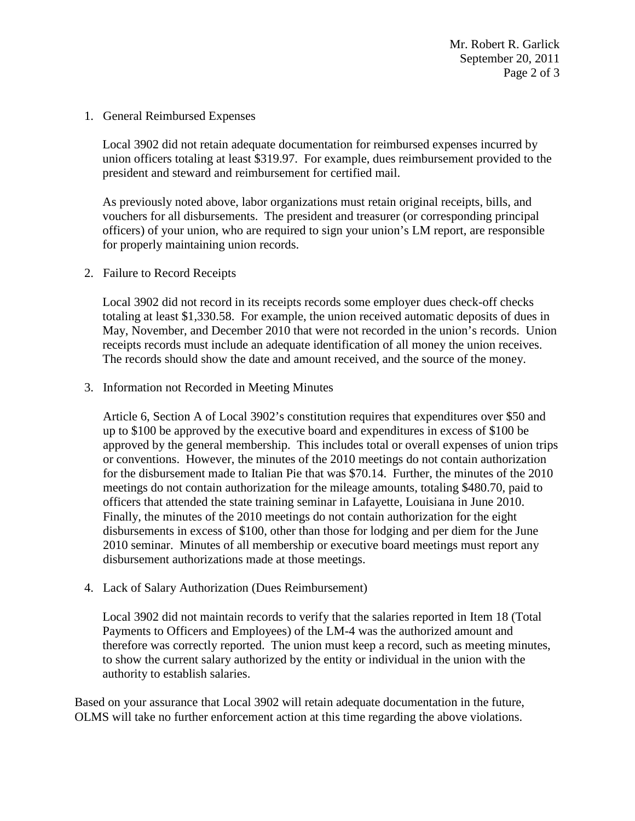1. General Reimbursed Expenses

Local 3902 did not retain adequate documentation for reimbursed expenses incurred by union officers totaling at least \$319.97. For example, dues reimbursement provided to the president and steward and reimbursement for certified mail.

As previously noted above, labor organizations must retain original receipts, bills, and vouchers for all disbursements. The president and treasurer (or corresponding principal officers) of your union, who are required to sign your union's LM report, are responsible for properly maintaining union records.

2. Failure to Record Receipts

Local 3902 did not record in its receipts records some employer dues check-off checks totaling at least \$1,330.58. For example, the union received automatic deposits of dues in May, November, and December 2010 that were not recorded in the union's records. Union receipts records must include an adequate identification of all money the union receives. The records should show the date and amount received, and the source of the money.

3. Information not Recorded in Meeting Minutes

Article 6, Section A of Local 3902's constitution requires that expenditures over \$50 and up to \$100 be approved by the executive board and expenditures in excess of \$100 be approved by the general membership. This includes total or overall expenses of union trips or conventions. However, the minutes of the 2010 meetings do not contain authorization for the disbursement made to Italian Pie that was \$70.14. Further, the minutes of the 2010 meetings do not contain authorization for the mileage amounts, totaling \$480.70, paid to officers that attended the state training seminar in Lafayette, Louisiana in June 2010. Finally, the minutes of the 2010 meetings do not contain authorization for the eight disbursements in excess of \$100, other than those for lodging and per diem for the June 2010 seminar. Minutes of all membership or executive board meetings must report any disbursement authorizations made at those meetings.

4. Lack of Salary Authorization (Dues Reimbursement)

Local 3902 did not maintain records to verify that the salaries reported in Item 18 (Total Payments to Officers and Employees) of the LM-4 was the authorized amount and therefore was correctly reported. The union must keep a record, such as meeting minutes, to show the current salary authorized by the entity or individual in the union with the authority to establish salaries.

Based on your assurance that Local 3902 will retain adequate documentation in the future, OLMS will take no further enforcement action at this time regarding the above violations.